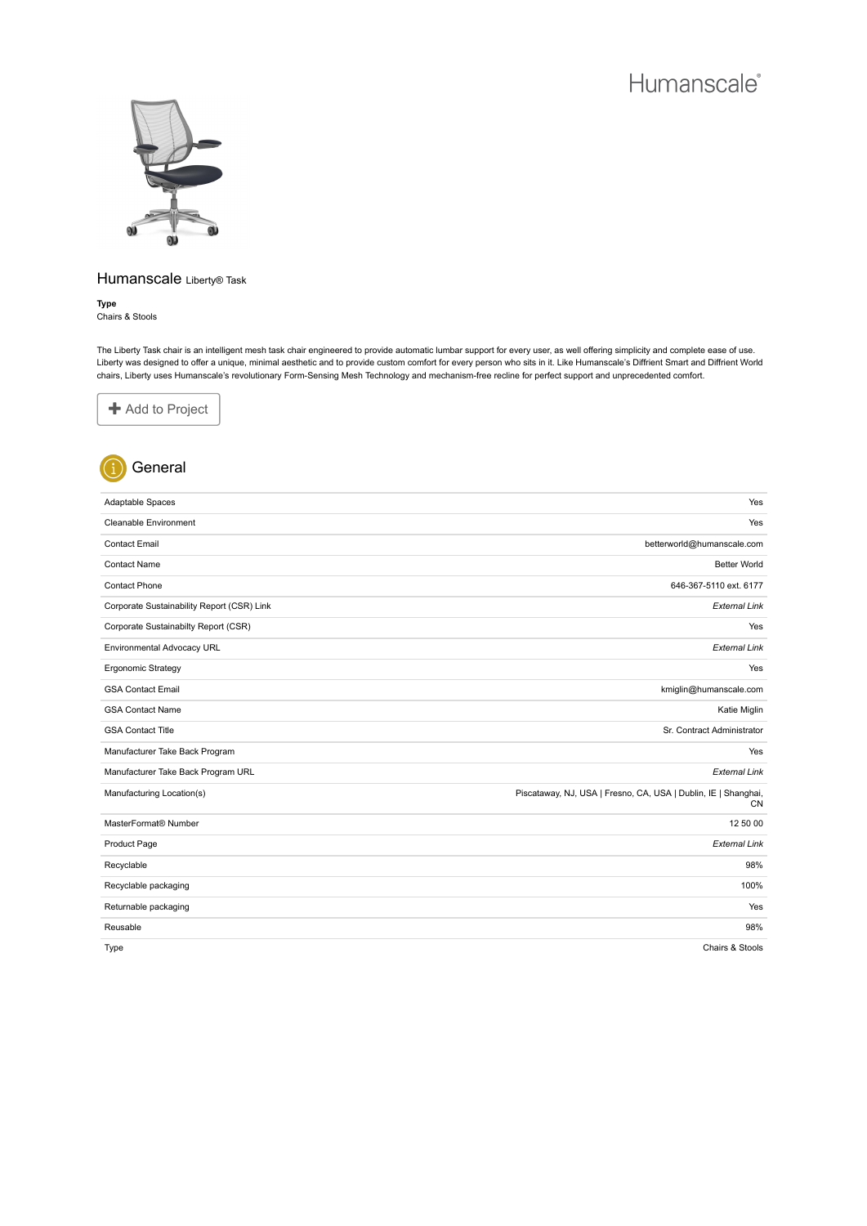

## Humanscale Liberty® Task

**Type** Chairs & Stools

The Liberty Task chair is an intelligent mesh task chair engineered to provide automatic lumbar support for every user, as well offering simplicity and complete ease of use. Liberty was designed to offer a unique, minimal aesthetic and to provide custom comfort for every person who sits in it. Like Humanscale's Diffrient Smart and Diffrient World chairs, Liberty uses Humanscale's revolutionary Form-Sensing Mesh Technology and mechanism-free recline for perfect support and unprecedented comfort.





| Adaptable Spaces                           | Yes                                                                         |
|--------------------------------------------|-----------------------------------------------------------------------------|
| Cleanable Environment                      | Yes                                                                         |
| <b>Contact Email</b>                       | betterworld@humanscale.com                                                  |
| <b>Contact Name</b>                        | <b>Better World</b>                                                         |
| <b>Contact Phone</b>                       | 646-367-5110 ext. 6177                                                      |
| Corporate Sustainability Report (CSR) Link | <b>External Link</b>                                                        |
| Corporate Sustainabilty Report (CSR)       | Yes                                                                         |
| Environmental Advocacy URL                 | <b>External Link</b>                                                        |
| Ergonomic Strategy                         | Yes                                                                         |
| <b>GSA Contact Email</b>                   | kmiglin@humanscale.com                                                      |
| <b>GSA Contact Name</b>                    | Katie Miglin                                                                |
| <b>GSA Contact Title</b>                   | Sr. Contract Administrator                                                  |
| Manufacturer Take Back Program             | Yes                                                                         |
| Manufacturer Take Back Program URL         | <b>External Link</b>                                                        |
| Manufacturing Location(s)                  | Piscataway, NJ, USA   Fresno, CA, USA   Dublin, IE   Shanghai,<br><b>CN</b> |
| MasterFormat <sup>®</sup> Number           | 12 50 00                                                                    |
| Product Page                               | <b>External Link</b>                                                        |
| Recyclable                                 | 98%                                                                         |
| Recyclable packaging                       | 100%                                                                        |
| Returnable packaging                       | Yes                                                                         |
| Reusable                                   | 98%                                                                         |
| Type                                       | Chairs & Stools                                                             |

Chairs & Stools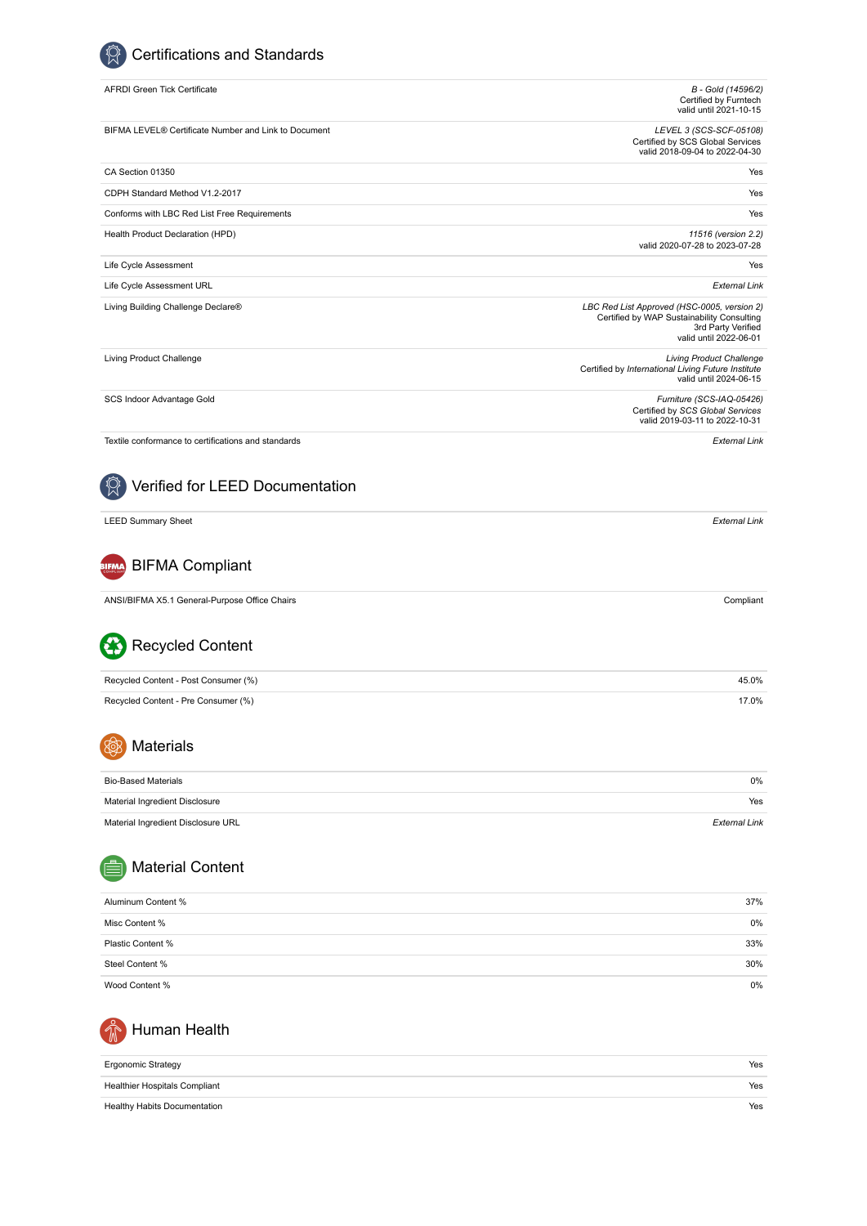$\circledR$  Certifications and Standards

| <b>AFRDI Green Tick Certificate</b>                  | B - Gold (14596/2)<br>Certified by Furntech<br>valid until 2021-10-15                                                                     |
|------------------------------------------------------|-------------------------------------------------------------------------------------------------------------------------------------------|
| BIFMA LEVEL® Certificate Number and Link to Document | LEVEL 3 (SCS-SCF-05108)<br>Certified by SCS Global Services<br>valid 2018-09-04 to 2022-04-30                                             |
| CA Section 01350                                     | Yes                                                                                                                                       |
| CDPH Standard Method V1.2-2017                       | Yes                                                                                                                                       |
| Conforms with LBC Red List Free Requirements         | Yes                                                                                                                                       |
| Health Product Declaration (HPD)                     | 11516 (version 2.2)<br>valid 2020-07-28 to 2023-07-28                                                                                     |
| Life Cycle Assessment                                | Yes                                                                                                                                       |
| Life Cycle Assessment URL                            | <b>External Link</b>                                                                                                                      |
| Living Building Challenge Declare®                   | LBC Red List Approved (HSC-0005, version 2)<br>Certified by WAP Sustainability Consulting<br>3rd Party Verified<br>valid until 2022-06-01 |
| Living Product Challenge                             | <b>Living Product Challenge</b><br>Certified by International Living Future Institute<br>valid until 2024-06-15                           |
| SCS Indoor Advantage Gold                            | Furniture (SCS-IAQ-05426)<br>Certified by SCS Global Services<br>valid 2019-03-11 to 2022-10-31                                           |
| Textile conformance to certifications and standards  | <b>External Link</b>                                                                                                                      |
| Verified for LEED Documentation                      |                                                                                                                                           |
| <b>LEED Summary Sheet</b>                            | <b>External Link</b>                                                                                                                      |
| <b>BIFMA Compliant</b>                               |                                                                                                                                           |
| ANSI/BIFMA X5.1 General-Purpose Office Chairs        | Compliant                                                                                                                                 |
| <b>Recycled Content</b>                              |                                                                                                                                           |
| Recycled Content - Post Consumer (%)                 | 45.0%                                                                                                                                     |
| Recycled Content - Pre Consumer (%)                  | 17.0%                                                                                                                                     |
| Materials<br>XQ                                      |                                                                                                                                           |
| <b>Bio-Based Materials</b>                           | 0%                                                                                                                                        |
| Material Ingredient Disclosure                       | Yes                                                                                                                                       |
| Material Ingredient Disclosure URL                   | <b>External Link</b>                                                                                                                      |
| <b>Material Content</b>                              |                                                                                                                                           |
| Aluminum Content %                                   | 37%                                                                                                                                       |
| Misc Content %                                       | 0%                                                                                                                                        |
| Plastic Content %                                    | 33%                                                                                                                                       |
| Steel Content %                                      | 30%                                                                                                                                       |
| Wood Content %                                       | 0%                                                                                                                                        |



| <b>Ergonomic Strategy</b>           | Yes |
|-------------------------------------|-----|
| Healthier Hospitals Compliant       | Yes |
| <b>Healthy Habits Documentation</b> | Yes |